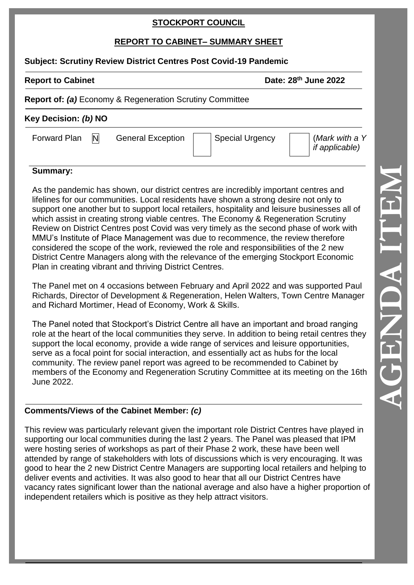## **STOCKPORT COUNCIL**

# **REPORT TO CABINET– SUMMARY SHEET**

### **Subject: Scrutiny Review District Centres Post Covid-19 Pandemic**

**Report to Cabinet Date: 28<sup>th</sup> June 2022** 

## **Report of:** *(a)* Economy & Regeneration Scrutiny Committee

# **Key Decision:** *(b)* **NO**

# Forward Plan  $\begin{bmatrix} N \end{bmatrix}$  General Exception | Special Urgency |  $\begin{bmatrix} \text{Mark with a } Y \end{bmatrix}$

*if applicable)*

# **Summary:**

As the pandemic has shown, our district centres are incredibly important centres and lifelines for our communities. Local residents have shown a strong desire not only to support one another but to support local retailers, hospitality and leisure businesses all of which assist in creating strong viable centres. The Economy & Regeneration Scrutiny Review on District Centres post Covid was very timely as the second phase of work with MMU's Institute of Place Management was due to recommence, the review therefore considered the scope of the work, reviewed the role and responsibilities of the 2 new District Centre Managers along with the relevance of the emerging Stockport Economic Plan in creating vibrant and thriving District Centres.

The Panel met on 4 occasions between February and April 2022 and was supported Paul Richards, Director of Development & Regeneration, Helen Walters, Town Centre Manager and Richard Mortimer, Head of Economy, Work & Skills.

The Panel noted that Stockport's District Centre all have an important and broad ranging role at the heart of the local communities they serve. In addition to being retail centres they support the local economy, provide a wide range of services and leisure opportunities, serve as a focal point for social interaction, and essentially act as hubs for the local community. The review panel report was agreed to be recommended to Cabinet by members of the Economy and Regeneration Scrutiny Committee at its meeting on the 16th June 2022.

# **Comments/Views of the Cabinet Member:** *(c)*

This review was particularly relevant given the important role District Centres have played in supporting our local communities during the last 2 years. The Panel was pleased that IPM were hosting series of workshops as part of their Phase 2 work, these have been well attended by range of stakeholders with lots of discussions which is very encouraging. It was good to hear the 2 new District Centre Managers are supporting local retailers and helping to deliver events and activities. It was also good to hear that all our District Centres have vacancy rates significant lower than the national average and also have a higher proportion of independent retailers which is positive as they help attract visitors.